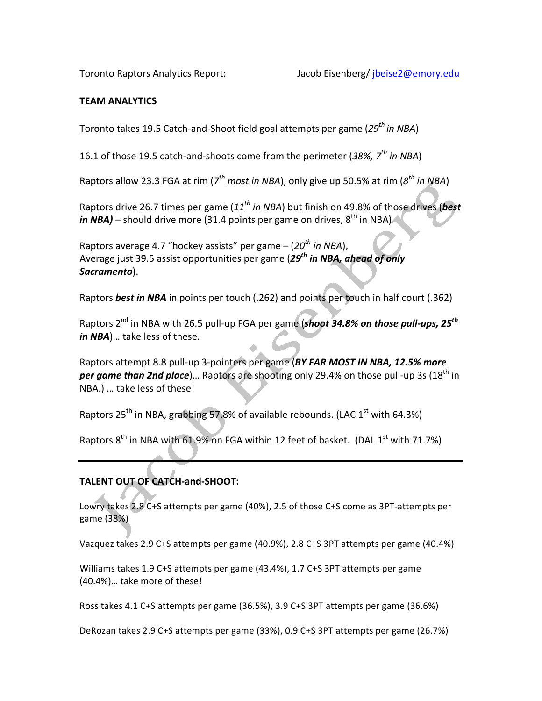#### **TEAM%ANALYTICS**

Toronto takes 19.5 Catch-and-Shoot field goal attempts per game (29<sup>th</sup> in NBA)

16.1 of those 19.5 catch-and-shoots come from the perimeter (38%, 7<sup>th</sup> in NBA)

Raptors allow 23.3 FGA at rim ( $7<sup>th</sup>$  *most in NBA*), only give up 50.5% at rim ( $8<sup>th</sup>$  *in NBA*)

Raptors drive 26.7 times per game (11<sup>th</sup> in NBA) but finish on 49.8% of those drives (**best**) *in NBA)* – should drive more (31.4 points per game on drives, 8<sup>th</sup> in NBA)

Raptors average 4.7 "hockey assists" per game – (20<sup>th</sup> in NBA), Average iust 39.5 assist opportunities per game (29<sup>th</sup> in NBA, ahead of only Sacramento).

Raptors **best in NBA** in points per touch (.262) and points per touch in half court (.362)

Raptors 2<sup>nd</sup> in NBA with 26.5 pull-up FGA per game (*shoot 34.8% on those pull-ups, 25<sup>th</sup> in NBA*)... take less of these.

Raptors attempt 8.8 pull-up 3-pointers per game (BY FAR MOST IN NBA, 12.5% more *per game than 2nd place*)... Raptors are shooting only 29.4% on those pull-up 3s (18<sup>th</sup> in NBA.) ... take less of these!

Raptors  $25<sup>th</sup>$  in NBA, grabbing 57.8% of available rebounds. (LAC  $1<sup>st</sup>$  with 64.3%)

Raptors  $8^{th}$  in NBA with 61.9% on FGA within 12 feet of basket. (DAL 1<sup>st</sup> with 71.7%)

# **TALENT OUT OF CATCH-and-SHOOT:**

Lowry takes 2.8 C+S attempts per game (40%), 2.5 of those C+S come as 3PT-attempts per game (38%)

Vazquez takes 2.9 C+S attempts per game (40.9%), 2.8 C+S 3PT attempts per game (40.4%)

Williams takes 1.9 C+S attempts per game (43.4%), 1.7 C+S 3PT attempts per game  $(40.4\%)$ ... take more of these!

Ross takes  $4.1$  C+S attempts per game (36.5%),  $3.9$  C+S 3PT attempts per game (36.6%)

DeRozan takes 2.9 C+S attempts per game (33%), 0.9 C+S 3PT attempts per game (26.7%)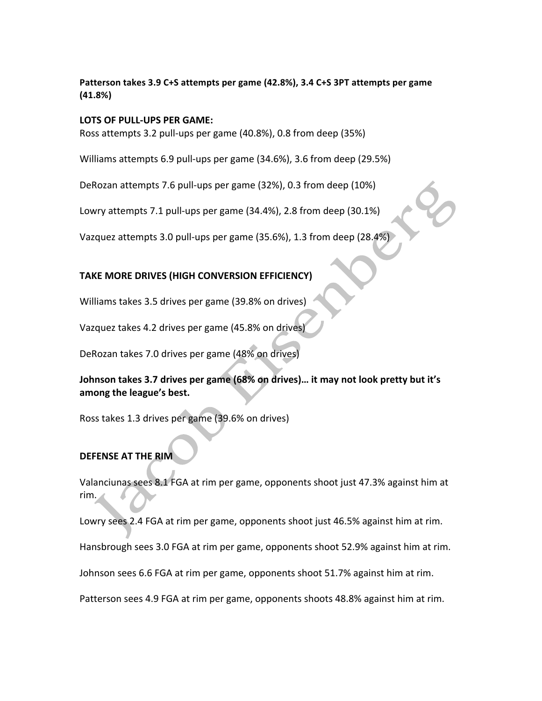### Patterson takes 3.9 C+S attempts per game (42.8%), 3.4 C+S 3PT attempts per game **(41.8%)**

#### **LOTS OF PULL-UPS PER GAME:**

Ross attempts 3.2 pull-ups per game (40.8%), 0.8 from deep (35%)

Williams attempts 6.9 pull-ups per game (34.6%), 3.6 from deep (29.5%)

DeRozan attempts 7.6 pull-ups per game (32%), 0.3 from deep (10%)

Lowry attempts 7.1 pull-ups per game (34.4%), 2.8 from deep (30.1%)

Vazquez attempts 3.0 pull-ups per game (35.6%), 1.3 from deep (28.4%)

## **TAKE MORE DRIVES (HIGH CONVERSION EFFICIENCY)**

Williams takes 3.5 drives per game (39.8% on drives)

Vazquez takes 4.2 drives per game (45.8% on drives

DeRozan takes 7.0 drives per game (48% on drives)

Johnson takes 3.7 drives per game (68% on drives)... it may not look pretty but it's among the league's best.

Ross takes 1.3 drives per game (39.6% on drives)

## **DEFENSE AT THE RIM**

Valanciunas sees 8.1 FGA at rim per game, opponents shoot just 47.3% against him at rim.

Lowry sees 2.4 FGA at rim per game, opponents shoot just 46.5% against him at rim.

Hansbrough sees 3.0 FGA at rim per game, opponents shoot 52.9% against him at rim.

Johnson sees 6.6 FGA at rim per game, opponents shoot 51.7% against him at rim.

Patterson sees 4.9 FGA at rim per game, opponents shoots 48.8% against him at rim.